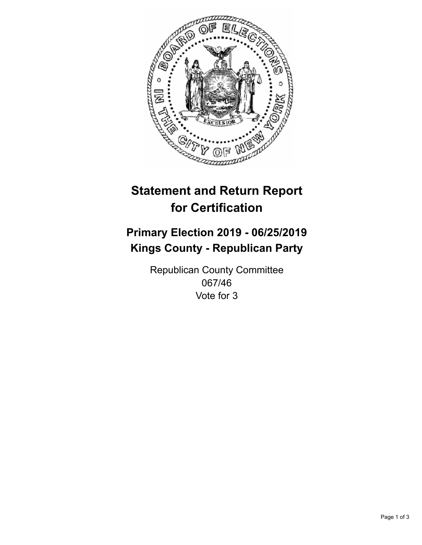

## **Statement and Return Report for Certification**

## **Primary Election 2019 - 06/25/2019 Kings County - Republican Party**

Republican County Committee 067/46 Vote for 3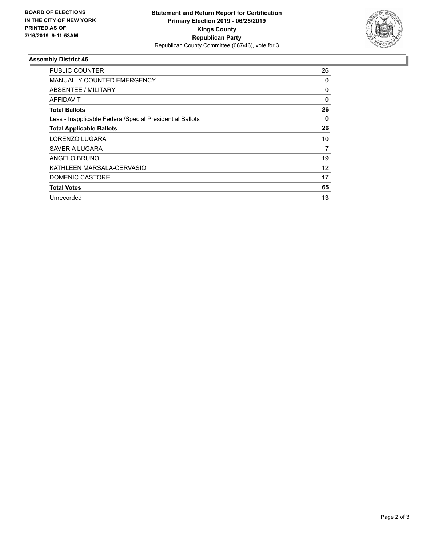

## **Assembly District 46**

| <b>PUBLIC COUNTER</b>                                    | 26 |
|----------------------------------------------------------|----|
| <b>MANUALLY COUNTED EMERGENCY</b>                        | 0  |
| ABSENTEE / MILITARY                                      | 0  |
| AFFIDAVIT                                                | 0  |
| <b>Total Ballots</b>                                     | 26 |
| Less - Inapplicable Federal/Special Presidential Ballots | 0  |
| <b>Total Applicable Ballots</b>                          | 26 |
| LORENZO LUGARA                                           | 10 |
| SAVERIA LUGARA                                           | 7  |
| ANGELO BRUNO                                             | 19 |
| KATHLEEN MARSALA-CERVASIO                                | 12 |
| DOMENIC CASTORE                                          | 17 |
| <b>Total Votes</b>                                       | 65 |
| Unrecorded                                               | 13 |